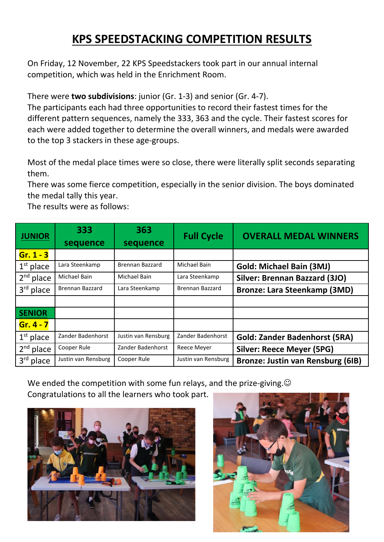## **KPS SPEEDSTACKING COMPETITION RESULTS**

On Friday, 12 November, 22 KPS Speedstackers took part in our annual internal competition, which was held in the Enrichment Room.

There were **two subdivisions**: junior (Gr. 1-3) and senior (Gr. 4-7).

The participants each had three opportunities to record their fastest times for the different pattern sequences, namely the 333, 363 and the cycle. Their fastest scores for each were added together to determine the overall winners, and medals were awarded to the top 3 stackers in these age-groups.

Most of the medal place times were so close, there were literally split seconds separating them.

There was some fierce competition, especially in the senior division. The boys dominated the medal tally this year.

The results were as follows:

| <b>JUNIOR</b>            | 333<br>sequence     | 363<br>sequence        | <b>Full Cycle</b>   | <b>OVERALL MEDAL WINNERS</b>             |
|--------------------------|---------------------|------------------------|---------------------|------------------------------------------|
| $Gr. 1 - 3$              |                     |                        |                     |                                          |
| $1st$ place              | Lara Steenkamp      | <b>Brennan Bazzard</b> | Michael Bain        | <b>Gold: Michael Bain (3MJ)</b>          |
| 2 <sup>nd</sup><br>place | Michael Bain        | Michael Bain           | Lara Steenkamp      | Silver: Brennan Bazzard (3JO)            |
| $3rd$ place              | Brennan Bazzard     | Lara Steenkamp         | Brennan Bazzard     | <b>Bronze: Lara Steenkamp (3MD)</b>      |
|                          |                     |                        |                     |                                          |
| <b>SENIOR</b>            |                     |                        |                     |                                          |
| $Gr.4 - 7$               |                     |                        |                     |                                          |
| $1st$ place              | Zander Badenhorst   | Justin van Rensburg    | Zander Badenhorst   | <b>Gold: Zander Badenhorst (5RA)</b>     |
| $2^{nd}$ place           | Cooper Rule         | Zander Badenhorst      | Reece Meyer         | <b>Silver: Reece Meyer (5PG)</b>         |
| $3rd$ place              | Justin van Rensburg | Cooper Rule            | Justin van Rensburg | <b>Bronze: Justin van Rensburg (6IB)</b> |

We ended the competition with some fun relays, and the prize-giving. $\odot$ Congratulations to all the learners who took part.